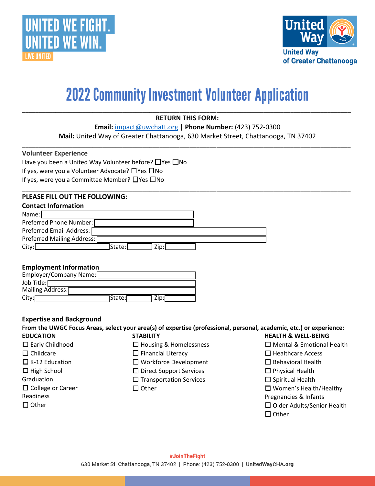



# **2022 Community Investment Volunteer Application**

### **RETURN THIS FORM:**

\_\_\_\_\_\_\_\_\_\_\_\_\_\_\_\_\_\_\_\_\_\_\_\_\_\_\_\_\_\_\_\_\_\_\_\_\_\_\_\_\_\_\_\_\_\_\_\_\_\_\_\_\_\_\_\_\_\_\_\_\_\_\_\_\_\_\_\_\_\_\_\_\_\_\_\_\_\_\_\_\_\_\_\_\_\_\_\_\_\_\_\_\_\_\_\_\_\_

**Email:** [impact@uwchatt.org](mailto:impact@uwchatt.org) | **Phone Number:** (423) 752-0300

**Mail:** United Way of Greater Chattanooga, 630 Market Street, Chattanooga, TN 37402 \_\_\_\_\_\_\_\_\_\_\_\_\_\_\_\_\_\_\_\_\_\_\_\_\_\_\_\_\_\_\_\_\_\_\_\_\_\_\_\_\_\_\_\_\_\_\_\_\_\_\_\_\_\_\_\_\_\_\_\_\_\_\_\_\_\_\_\_\_\_\_\_\_\_\_\_\_\_\_\_\_\_\_\_\_\_\_\_\_\_\_\_\_\_\_\_\_\_

\_\_\_\_\_\_\_\_\_\_\_\_\_\_\_\_\_\_\_\_\_\_\_\_\_\_\_\_\_\_\_\_\_\_\_\_\_\_\_\_\_\_\_\_\_\_\_\_\_\_\_\_\_\_\_\_\_\_\_\_\_\_\_\_\_\_\_\_\_\_\_\_\_\_\_\_\_\_\_\_\_\_\_\_\_\_\_\_\_\_\_\_\_\_\_\_\_\_

#### **Volunteer Experience**

Have you been a United Way Volunteer before? □Yes □No If yes, were you a Volunteer Advocate? ☐Yes ☐No If yes, were you a Committee Member? ☐Yes ☐No

### **PLEASE FILL OUT THE FOLLOWING:**

|       | <b>Contact Information</b> |        |      |  |
|-------|----------------------------|--------|------|--|
| Name: |                            |        |      |  |
|       | Preferred Phone Number:    |        |      |  |
|       | Preferred Email Address:   |        |      |  |
|       | Preferred Mailing Address: |        |      |  |
| City: |                            | State: | Zip: |  |

#### **Employment Information**

| Employer/Company Name: |          |      |  |
|------------------------|----------|------|--|
| Job Title:             |          |      |  |
| Mailing Address:       |          |      |  |
| City:                  | 1State:ſ | Zip: |  |

#### **Expertise and Background**

**From the UWGC Focus Areas, select your area(s) of expertise (professional, personal, academic, etc.) or experience: EDUCATION** □ Early Childhood □ Childcare  $\Box$  K-12 Education  $\Box$  High School **Graduation** □ College or Career Readiness □ Other **STABILITY** ☐ Housing & Homelessness □ Financial Literacy ☐ Workforce Development ☐ Direct Support Services □ Transportation Services □ Other **HEALTH & WELL-BEING** ☐ Mental & Emotional Health ☐ Healthcare Access ☐ Behavioral Health ☐ Physical Health □ Spiritual Health ☐ Women's Health/Healthy Pregnancies & Infants ☐ Older Adults/Senior Health □ Other